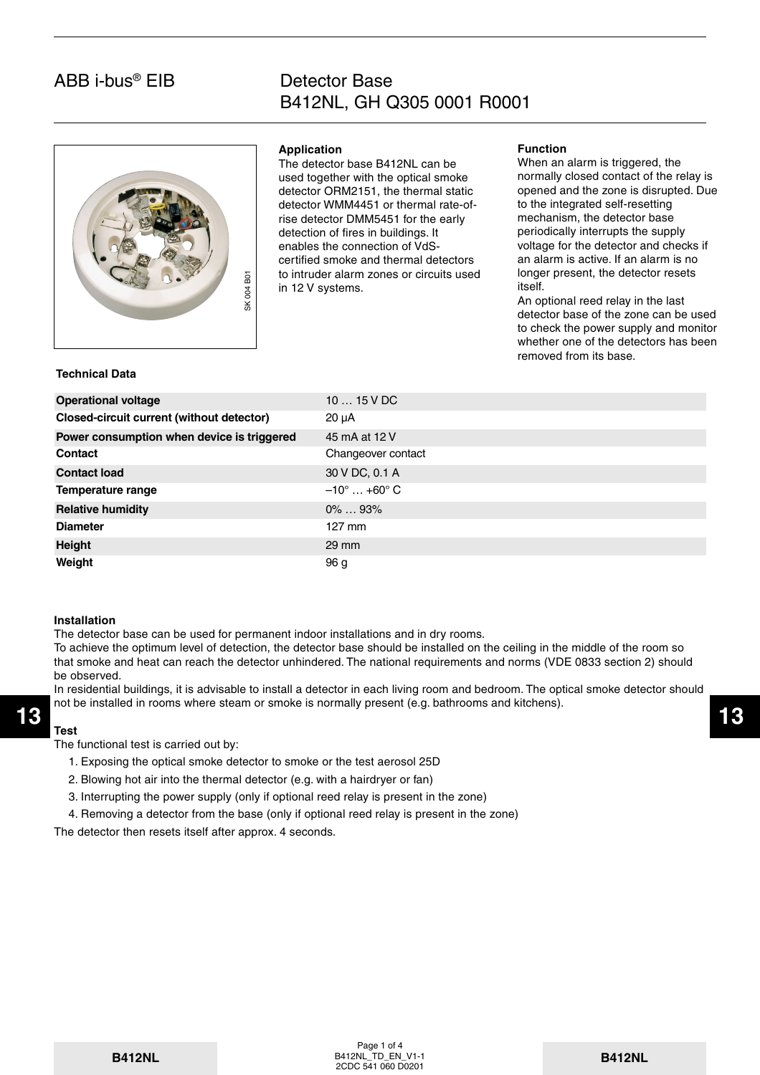## ABB i-bus® EIB

## Detector Base B412NL, GH Q305 0001 R0001



### **Application**

The detector base B412NL can be used together with the optical smoke detector ORM2151, the thermal static detector WMM4451 or thermal rate-ofrise detector DMM5451 for the early detection of fires in buildings. It enables the connection of VdScertified smoke and thermal detectors to intruder alarm zones or circuits used in 12 V systems.

#### **Function**

When an alarm is triggered, the normally closed contact of the relay is opened and the zone is disrupted. Due to the integrated self-resetting mechanism, the detector base periodically interrupts the supply voltage for the detector and checks if an alarm is active. If an alarm is no longer present, the detector resets itself.

An optional reed relay in the last detector base of the zone can be used to check the power supply and monitor whether one of the detectors has been removed from its base.

#### **Technical Data**

| ā<br>004                                   | to intruder alarm zones or circuits used<br>in 12 V systems. | foriger present, the detector resets<br>itself.<br>An optional reed relay in the last<br>detector base of the zone can be use<br>to check the power supply and monit<br>whether one of the detectors has bee<br>removed from its base. |  |
|--------------------------------------------|--------------------------------------------------------------|----------------------------------------------------------------------------------------------------------------------------------------------------------------------------------------------------------------------------------------|--|
| <b>Technical Data</b>                      |                                                              |                                                                                                                                                                                                                                        |  |
| <b>Operational voltage</b>                 | $1015$ V DC                                                  |                                                                                                                                                                                                                                        |  |
| Closed-circuit current (without detector)  | $20 \mu A$                                                   |                                                                                                                                                                                                                                        |  |
| Power consumption when device is triggered | 45 mA at 12 V                                                |                                                                                                                                                                                                                                        |  |
| Contact                                    | Changeover contact                                           |                                                                                                                                                                                                                                        |  |
| <b>Contact load</b>                        | 30 V DC, 0.1 A                                               |                                                                                                                                                                                                                                        |  |
| <b>Temperature range</b>                   | $-10^{\circ}$ +60 $^{\circ}$ C                               |                                                                                                                                                                                                                                        |  |
| <b>Relative humidity</b>                   | $0\%$ 93%                                                    |                                                                                                                                                                                                                                        |  |
| <b>Diameter</b>                            | $127$ mm                                                     |                                                                                                                                                                                                                                        |  |
| <b>Height</b>                              | $29 \text{ mm}$                                              |                                                                                                                                                                                                                                        |  |
| Weight                                     | 96 g                                                         |                                                                                                                                                                                                                                        |  |
|                                            |                                                              |                                                                                                                                                                                                                                        |  |

#### **Installation**

The detector base can be used for permanent indoor installations and in dry rooms.

To achieve the optimum level of detection, the detector base should be installed on the ceiling in the middle of the room so that smoke and heat can reach the detector unhindered. The national requirements and norms (VDE 0833 section 2) should be observed.

In residential buildings, it is advisable to install a detector in each living room and bedroom. The optical smoke detector should not be installed in rooms where steam or smoke is normally present (e.g. bathrooms and kitchens).

The functional test is carried out by:

- 1. Exposing the optical smoke detector to smoke or the test aerosol 25D
- 2. Blowing hot air into the thermal detector (e.g. with a hairdryer or fan)
- 3. Interrupting the power supply (only if optional reed relay is present in the zone)
- 4. Removing a detector from the base (only if optional reed relay is present in the zone)

The detector then resets itself after approx. 4 seconds.

**Test**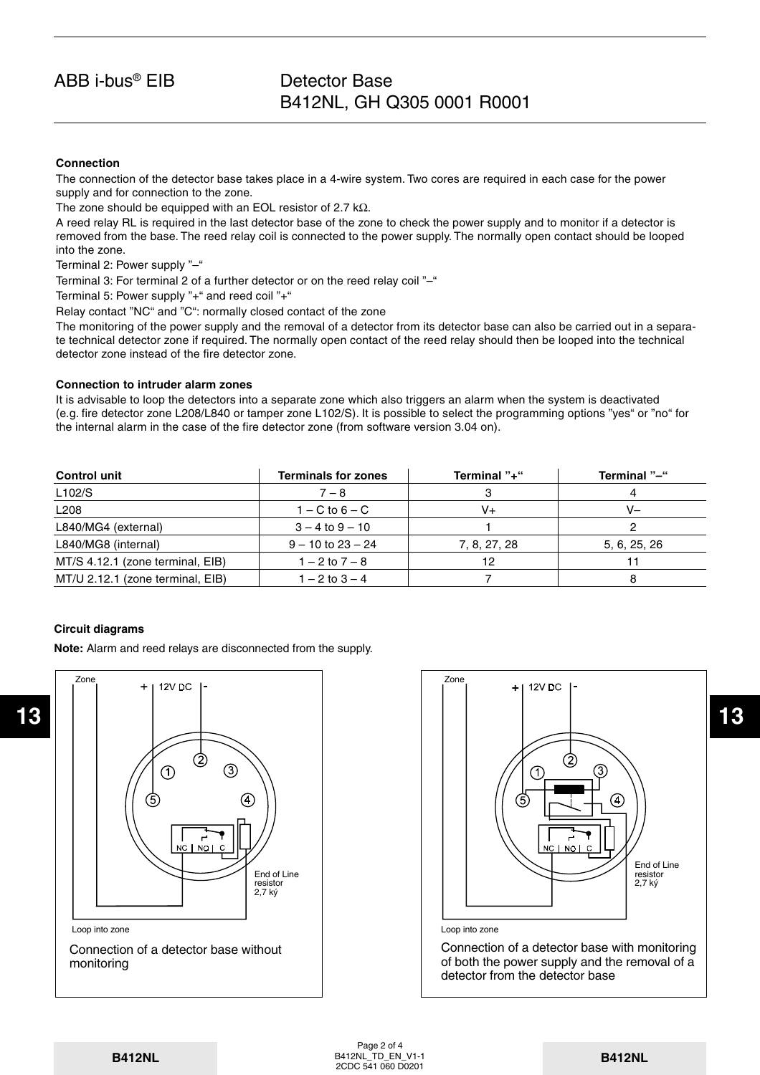## ABB i-bus® EIB

## Detector Base B412NL, GH Q305 0001 R0001

## **Connection**

The connection of the detector base takes place in a 4-wire system. Two cores are required in each case for the power supply and for connection to the zone.

The zone should be equipped with an EOL resistor of 2.7 k $\Omega$ .

A reed relay RL is required in the last detector base of the zone to check the power supply and to monitor if a detector is removed from the base. The reed relay coil is connected to the power supply. The normally open contact should be looped into the zone.

Terminal 2: Power supply "–"

Terminal 3: For terminal 2 of a further detector or on the reed relay coil "–"

Terminal 5: Power supply "+" and reed coil "+"

Relay contact "NC" and "C": normally closed contact of the zone

The monitoring of the power supply and the removal of a detector from its detector base can also be carried out in a separate technical detector zone if required. The normally open contact of the reed relay should then be looped into the technical detector zone instead of the fire detector zone.

## **Connection to intruder alarm zones**

It is advisable to loop the detectors into a separate zone which also triggers an alarm when the system is deactivated (e.g. fire detector zone L208/L840 or tamper zone L102/S). It is possible to select the programming options "yes" or "no" for the internal alarm in the case of the fire detector zone (from software version 3.04 on).

| <b>Control unit</b>              | <b>Terminals for zones</b> | Terminal "+" | Terminal "-" |
|----------------------------------|----------------------------|--------------|--------------|
| L102/S                           | $7 - 8$                    |              |              |
| L <sub>208</sub>                 | $1 - C$ to $6 - C$         | V+           | V-           |
| L840/MG4 (external)              | $3 - 4$ to $9 - 10$        |              |              |
| L840/MG8 (internal)              | $9 - 10$ to $23 - 24$      | 7, 8, 27, 28 | 5, 6, 25, 26 |
| MT/S 4.12.1 (zone terminal, EIB) | 1 – 2 to 7 – 8             | 12           |              |
| MT/U 2.12.1 (zone terminal, EIB) | $1 - 2$ to $3 - 4$         |              |              |

#### **Circuit diagrams**

**Note:** Alarm and reed relays are disconnected from the supply.



Connection of a detector base without monitoring



Page 2 of 4 B412NL\_TD\_EN\_V1-1 **B412NL B412NL B412NL\_TD\_EN\_V1-1 B412NL B412NL B412NL**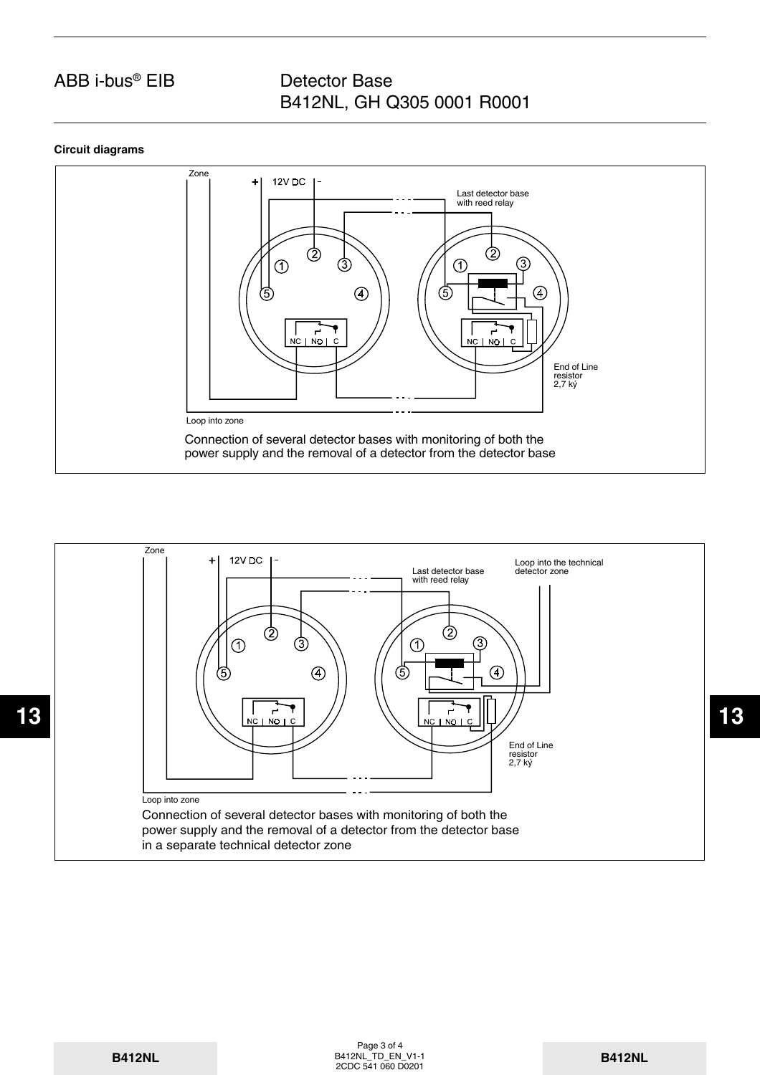# ABB i-bus® EIB

## Detector Base B412NL, GH Q305 0001 R0001

## **Circuit diagrams**